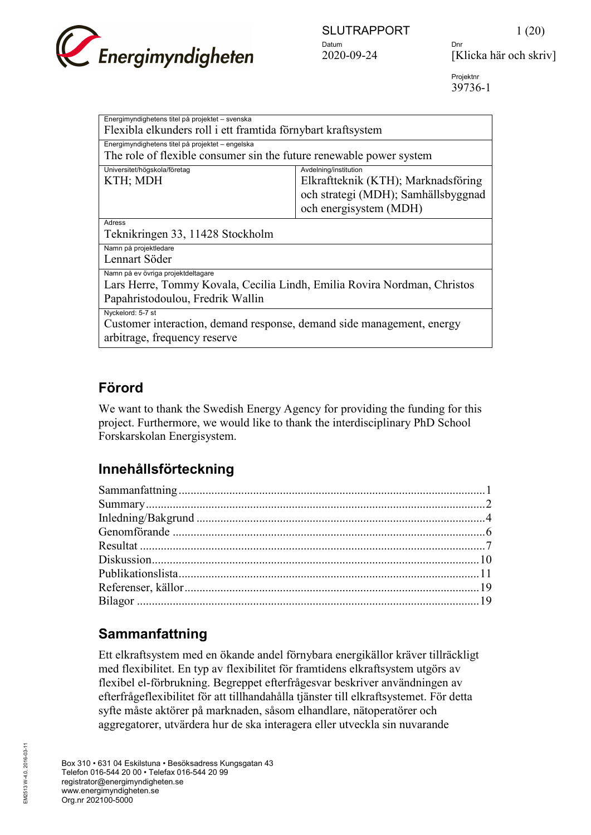

2020-09-24 [Klicka här och skriv]

Projektnr 39736-1

| Energimyndighetens titel på projektet - svenska                          |                                     |  |
|--------------------------------------------------------------------------|-------------------------------------|--|
| Flexibla elkunders roll i ett framtida förnybart kraftsystem             |                                     |  |
| Energimyndighetens titel på projektet – engelska                         |                                     |  |
| The role of flexible consumer sin the future renewable power system      |                                     |  |
| Universitet/högskola/företag                                             | Avdelning/institution               |  |
| KTH; MDH                                                                 | Elkraftteknik (KTH); Marknadsföring |  |
|                                                                          | och strategi (MDH); Samhällsbyggnad |  |
|                                                                          | och energisystem (MDH)              |  |
|                                                                          |                                     |  |
| Adress                                                                   |                                     |  |
| Teknikringen 33, 11428 Stockholm                                         |                                     |  |
| Namn på projektledare                                                    |                                     |  |
| Lennart Söder                                                            |                                     |  |
| Namn på ev övriga projektdeltagare                                       |                                     |  |
| Lars Herre, Tommy Kovala, Cecilia Lindh, Emilia Rovira Nordman, Christos |                                     |  |
| Papahristodoulou, Fredrik Wallin                                         |                                     |  |
| Nyckelord: 5-7 st                                                        |                                     |  |
| Customer interaction, demand response, demand side management, energy    |                                     |  |
|                                                                          |                                     |  |
| arbitrage, frequency reserve                                             |                                     |  |

# **Förord**

We want to thank the Swedish Energy Agency for providing the funding for this project. Furthermore, we would like to thank the interdisciplinary PhD School Forskarskolan Energisystem.

# **Innehållsförteckning**

# <span id="page-0-0"></span>**Sammanfattning**

Ett elkraftsystem med en ökande andel förnybara energikällor kräver tillräckligt med flexibilitet. En typ av flexibilitet för framtidens elkraftsystem utgörs av flexibel el-förbrukning. Begreppet efterfrågesvar beskriver användningen av efterfrågeflexibilitet för att tillhandahålla tjänster till elkraftsystemet. För detta syfte måste aktörer på marknaden, såsom elhandlare, nätoperatörer och aggregatorer, utvärdera hur de ska interagera eller utveckla sin nuvarande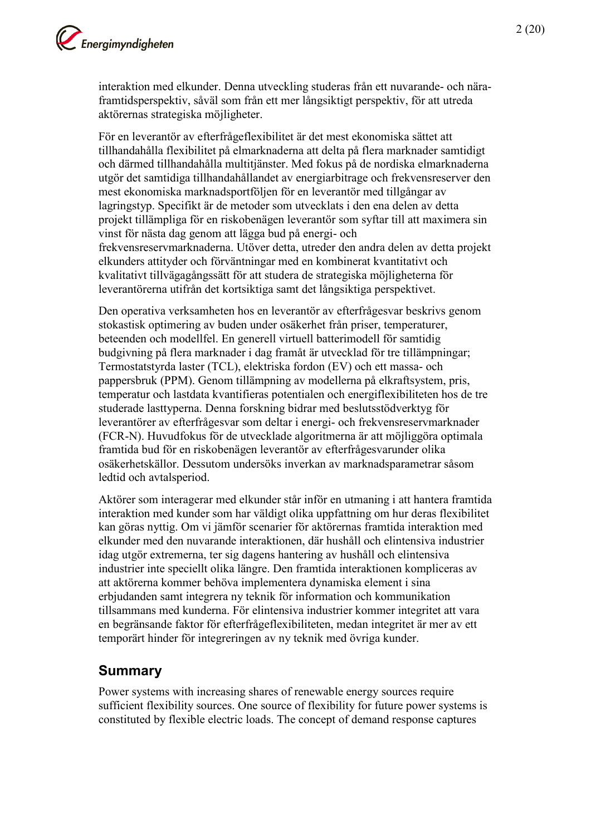interaktion med elkunder. Denna utveckling studeras från ett nuvarande- och näraframtidsperspektiv, såväl som från ett mer långsiktigt perspektiv, för att utreda aktörernas strategiska möjligheter.

För en leverantör av efterfrågeflexibilitet är det mest ekonomiska sättet att tillhandahålla flexibilitet på elmarknaderna att delta på flera marknader samtidigt och därmed tillhandahålla multitjänster. Med fokus på de nordiska elmarknaderna utgör det samtidiga tillhandahållandet av energiarbitrage och frekvensreserver den mest ekonomiska marknadsportföljen för en leverantör med tillgångar av lagringstyp. Specifikt är de metoder som utvecklats i den ena delen av detta projekt tillämpliga för en riskobenägen leverantör som syftar till att maximera sin vinst för nästa dag genom att lägga bud på energi- och frekvensreservmarknaderna. Utöver detta, utreder den andra delen av detta projekt elkunders attityder och förväntningar med en kombinerat kvantitativt och kvalitativt tillvägagångssätt för att studera de strategiska möjligheterna för leverantörerna utifrån det kortsiktiga samt det långsiktiga perspektivet.

Den operativa verksamheten hos en leverantör av efterfrågesvar beskrivs genom stokastisk optimering av buden under osäkerhet från priser, temperaturer, beteenden och modellfel. En generell virtuell batterimodell för samtidig budgivning på flera marknader i dag framåt är utvecklad för tre tillämpningar; Termostatstyrda laster (TCL), elektriska fordon (EV) och ett massa- och pappersbruk (PPM). Genom tillämpning av modellerna på elkraftsystem, pris, temperatur och lastdata kvantifieras potentialen och energiflexibiliteten hos de tre studerade lasttyperna. Denna forskning bidrar med beslutsstödverktyg för leverantörer av efterfrågesvar som deltar i energi- och frekvensreservmarknader (FCR-N). Huvudfokus för de utvecklade algoritmerna är att möjliggöra optimala framtida bud för en riskobenägen leverantör av efterfrågesvarunder olika osäkerhetskällor. Dessutom undersöks inverkan av marknadsparametrar såsom ledtid och avtalsperiod.

Aktörer som interagerar med elkunder står inför en utmaning i att hantera framtida interaktion med kunder som har väldigt olika uppfattning om hur deras flexibilitet kan göras nyttig. Om vi jämför scenarier för aktörernas framtida interaktion med elkunder med den nuvarande interaktionen, där hushåll och elintensiva industrier idag utgör extremerna, ter sig dagens hantering av hushåll och elintensiva industrier inte speciellt olika längre. Den framtida interaktionen kompliceras av att aktörerna kommer behöva implementera dynamiska element i sina erbjudanden samt integrera ny teknik för information och kommunikation tillsammans med kunderna. För elintensiva industrier kommer integritet att vara en begränsande faktor för efterfrågeflexibiliteten, medan integritet är mer av ett temporärt hinder för integreringen av ny teknik med övriga kunder.

## <span id="page-1-0"></span>**Summary**

Power systems with increasing shares of renewable energy sources require sufficient flexibility sources. One source of flexibility for future power systems is constituted by flexible electric loads. The concept of demand response captures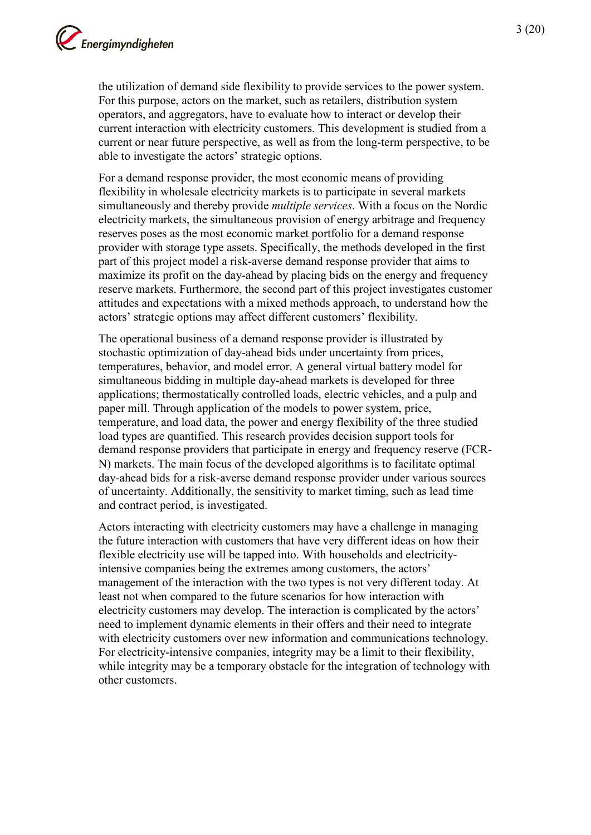the utilization of demand side flexibility to provide services to the power system. For this purpose, actors on the market, such as retailers, distribution system operators, and aggregators, have to evaluate how to interact or develop their current interaction with electricity customers. This development is studied from a current or near future perspective, as well as from the long-term perspective, to be able to investigate the actors' strategic options.

For a demand response provider, the most economic means of providing flexibility in wholesale electricity markets is to participate in several markets simultaneously and thereby provide *multiple services*. With a focus on the Nordic electricity markets, the simultaneous provision of energy arbitrage and frequency reserves poses as the most economic market portfolio for a demand response provider with storage type assets. Specifically, the methods developed in the first part of this project model a risk-averse demand response provider that aims to maximize its profit on the day-ahead by placing bids on the energy and frequency reserve markets. Furthermore, the second part of this project investigates customer attitudes and expectations with a mixed methods approach, to understand how the actors' strategic options may affect different customers' flexibility.

The operational business of a demand response provider is illustrated by stochastic optimization of day-ahead bids under uncertainty from prices, temperatures, behavior, and model error. A general virtual battery model for simultaneous bidding in multiple day-ahead markets is developed for three applications; thermostatically controlled loads, electric vehicles, and a pulp and paper mill. Through application of the models to power system, price, temperature, and load data, the power and energy flexibility of the three studied load types are quantified. This research provides decision support tools for demand response providers that participate in energy and frequency reserve (FCR-N) markets. The main focus of the developed algorithms is to facilitate optimal day-ahead bids for a risk-averse demand response provider under various sources of uncertainty. Additionally, the sensitivity to market timing, such as lead time and contract period, is investigated.

Actors interacting with electricity customers may have a challenge in managing the future interaction with customers that have very different ideas on how their flexible electricity use will be tapped into. With households and electricityintensive companies being the extremes among customers, the actors' management of the interaction with the two types is not very different today. At least not when compared to the future scenarios for how interaction with electricity customers may develop. The interaction is complicated by the actors' need to implement dynamic elements in their offers and their need to integrate with electricity customers over new information and communications technology. For electricity-intensive companies, integrity may be a limit to their flexibility, while integrity may be a temporary obstacle for the integration of technology with other customers.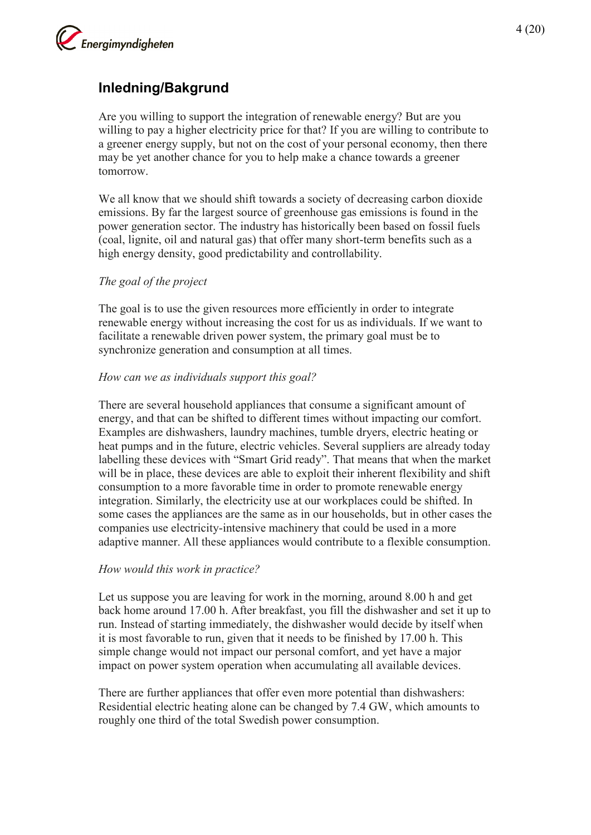

## <span id="page-3-0"></span>**Inledning/Bakgrund**

Are you willing to support the integration of renewable energy? But are you willing to pay a higher electricity price for that? If you are willing to contribute to a greener energy supply, but not on the cost of your personal economy, then there may be yet another chance for you to help make a chance towards a greener tomorrow.

We all know that we should shift towards a society of decreasing carbon dioxide emissions. By far the largest source of greenhouse gas emissions is found in the power generation sector. The industry has historically been based on fossil fuels (coal, lignite, oil and natural gas) that offer many short-term benefits such as a high energy density, good predictability and controllability.

#### *The goal of the project*

The goal is to use the given resources more efficiently in order to integrate renewable energy without increasing the cost for us as individuals. If we want to facilitate a renewable driven power system, the primary goal must be to synchronize generation and consumption at all times.

#### *How can we as individuals support this goal?*

There are several household appliances that consume a significant amount of energy, and that can be shifted to different times without impacting our comfort. Examples are dishwashers, laundry machines, tumble dryers, electric heating or heat pumps and in the future, electric vehicles. Several suppliers are already today labelling these devices with "Smart Grid ready". That means that when the market will be in place, these devices are able to exploit their inherent flexibility and shift consumption to a more favorable time in order to promote renewable energy integration. Similarly, the electricity use at our workplaces could be shifted. In some cases the appliances are the same as in our households, but in other cases the companies use electricity-intensive machinery that could be used in a more adaptive manner. All these appliances would contribute to a flexible consumption.

#### *How would this work in practice?*

Let us suppose you are leaving for work in the morning, around 8.00 h and get back home around 17.00 h. After breakfast, you fill the dishwasher and set it up to run. Instead of starting immediately, the dishwasher would decide by itself when it is most favorable to run, given that it needs to be finished by 17.00 h. This simple change would not impact our personal comfort, and yet have a major impact on power system operation when accumulating all available devices.

There are further appliances that offer even more potential than dishwashers: Residential electric heating alone can be changed by 7.4 GW, which amounts to roughly one third of the total Swedish power consumption.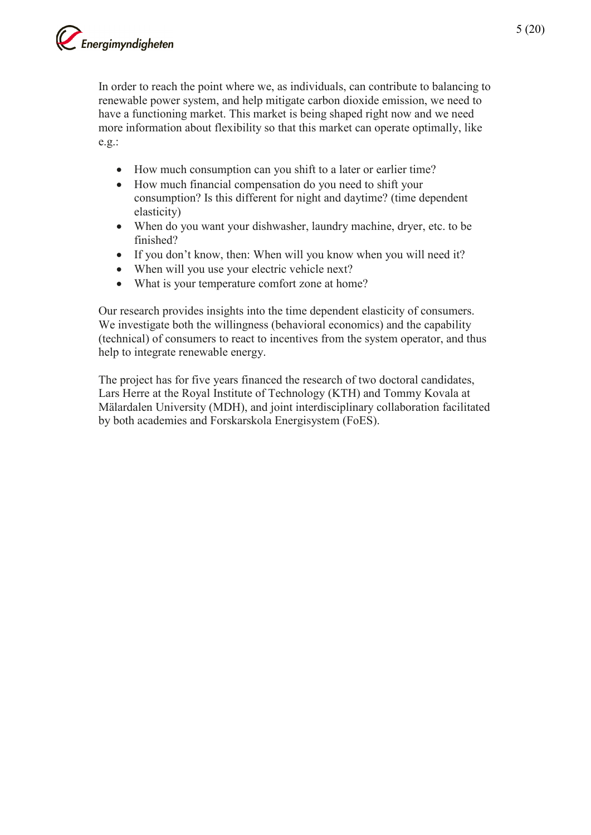

In order to reach the point where we, as individuals, can contribute to balancing to renewable power system, and help mitigate carbon dioxide emission, we need to have a functioning market. This market is being shaped right now and we need more information about flexibility so that this market can operate optimally, like e.g.:

- How much consumption can you shift to a later or earlier time?
- How much financial compensation do you need to shift your consumption? Is this different for night and daytime? (time dependent elasticity)
- When do you want your dishwasher, laundry machine, dryer, etc. to be finished?
- If you don't know, then: When will you know when you will need it?
- When will you use your electric vehicle next?
- What is your temperature comfort zone at home?

Our research provides insights into the time dependent elasticity of consumers. We investigate both the willingness (behavioral economics) and the capability (technical) of consumers to react to incentives from the system operator, and thus help to integrate renewable energy.

The project has for five years financed the research of two doctoral candidates, Lars Herre at the Royal Institute of Technology (KTH) and Tommy Kovala at Mälardalen University (MDH), and joint interdisciplinary collaboration facilitated by both academies and Forskarskola Energisystem (FoES).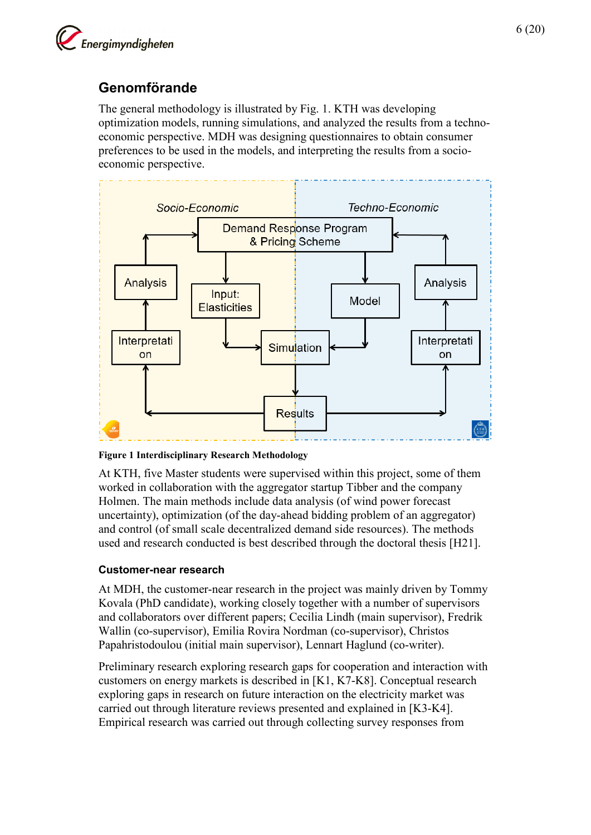

## <span id="page-5-0"></span>**Genomförande**

The general methodology is illustrated by Fig. 1. KTH was developing optimization models, running simulations, and analyzed the results from a technoeconomic perspective. MDH was designing questionnaires to obtain consumer preferences to be used in the models, and interpreting the results from a socioeconomic perspective.



**Figure 1 Interdisciplinary Research Methodology**

At KTH, five Master students were supervised within this project, some of them worked in collaboration with the aggregator startup Tibber and the company Holmen. The main methods include data analysis (of wind power forecast uncertainty), optimization (of the day-ahead bidding problem of an aggregator) and control (of small scale decentralized demand side resources). The methods used and research conducted is best described through the doctoral thesis [H21].

### **Customer-near research**

At MDH, the customer-near research in the project was mainly driven by Tommy Kovala (PhD candidate), working closely together with a number of supervisors and collaborators over different papers; Cecilia Lindh (main supervisor), Fredrik Wallin (co-supervisor), Emilia Rovira Nordman (co-supervisor), Christos Papahristodoulou (initial main supervisor), Lennart Haglund (co-writer).

Preliminary research exploring research gaps for cooperation and interaction with customers on energy markets is described in [K1, K7-K8]. Conceptual research exploring gaps in research on future interaction on the electricity market was carried out through literature reviews presented and explained in [K3-K4]. Empirical research was carried out through collecting survey responses from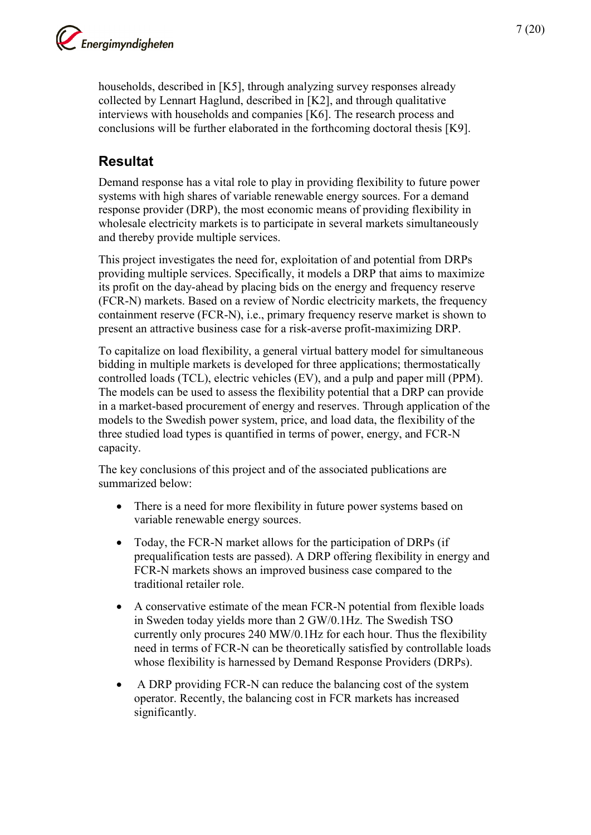households, described in [K5], through analyzing survey responses already collected by Lennart Haglund, described in [K2], and through qualitative interviews with households and companies [K6]. The research process and conclusions will be further elaborated in the forthcoming doctoral thesis [K9].

# <span id="page-6-0"></span>**Resultat**

Demand response has a vital role to play in providing flexibility to future power systems with high shares of variable renewable energy sources. For a demand response provider (DRP), the most economic means of providing flexibility in wholesale electricity markets is to participate in several markets simultaneously and thereby provide multiple services.

This project investigates the need for, exploitation of and potential from DRPs providing multiple services. Specifically, it models a DRP that aims to maximize its profit on the day-ahead by placing bids on the energy and frequency reserve (FCR-N) markets. Based on a review of Nordic electricity markets, the frequency containment reserve (FCR-N), i.e., primary frequency reserve market is shown to present an attractive business case for a risk-averse profit-maximizing DRP.

To capitalize on load flexibility, a general virtual battery model for simultaneous bidding in multiple markets is developed for three applications; thermostatically controlled loads (TCL), electric vehicles (EV), and a pulp and paper mill (PPM). The models can be used to assess the flexibility potential that a DRP can provide in a market-based procurement of energy and reserves. Through application of the models to the Swedish power system, price, and load data, the flexibility of the three studied load types is quantified in terms of power, energy, and FCR-N capacity.

The key conclusions of this project and of the associated publications are summarized below:

- There is a need for more flexibility in future power systems based on variable renewable energy sources.
- Today, the FCR-N market allows for the participation of DRPs (if prequalification tests are passed). A DRP offering flexibility in energy and FCR-N markets shows an improved business case compared to the traditional retailer role.
- A conservative estimate of the mean FCR-N potential from flexible loads in Sweden today yields more than 2 GW/0.1Hz. The Swedish TSO currently only procures 240 MW/0.1Hz for each hour. Thus the flexibility need in terms of FCR-N can be theoretically satisfied by controllable loads whose flexibility is harnessed by Demand Response Providers (DRPs).
- A DRP providing FCR-N can reduce the balancing cost of the system operator. Recently, the balancing cost in FCR markets has increased significantly.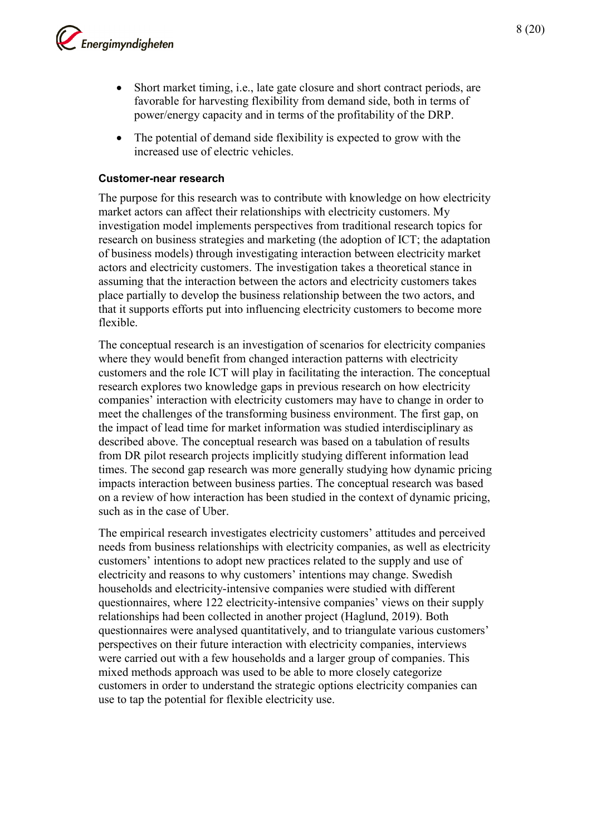

- Short market timing, i.e., late gate closure and short contract periods, are favorable for harvesting flexibility from demand side, both in terms of power/energy capacity and in terms of the profitability of the DRP.
- The potential of demand side flexibility is expected to grow with the increased use of electric vehicles.

#### **Customer-near research**

The purpose for this research was to contribute with knowledge on how electricity market actors can affect their relationships with electricity customers. My investigation model implements perspectives from traditional research topics for research on business strategies and marketing (the adoption of ICT; the adaptation of business models) through investigating interaction between electricity market actors and electricity customers. The investigation takes a theoretical stance in assuming that the interaction between the actors and electricity customers takes place partially to develop the business relationship between the two actors, and that it supports efforts put into influencing electricity customers to become more flexible.

The conceptual research is an investigation of scenarios for electricity companies where they would benefit from changed interaction patterns with electricity customers and the role ICT will play in facilitating the interaction. The conceptual research explores two knowledge gaps in previous research on how electricity companies' interaction with electricity customers may have to change in order to meet the challenges of the transforming business environment. The first gap, on the impact of lead time for market information was studied interdisciplinary as described above. The conceptual research was based on a tabulation of results from DR pilot research projects implicitly studying different information lead times. The second gap research was more generally studying how dynamic pricing impacts interaction between business parties. The conceptual research was based on a review of how interaction has been studied in the context of dynamic pricing, such as in the case of Uber.

The empirical research investigates electricity customers' attitudes and perceived needs from business relationships with electricity companies, as well as electricity customers' intentions to adopt new practices related to the supply and use of electricity and reasons to why customers' intentions may change. Swedish households and electricity-intensive companies were studied with different questionnaires, where 122 electricity-intensive companies' views on their supply relationships had been collected in another project (Haglund, 2019). Both questionnaires were analysed quantitatively, and to triangulate various customers' perspectives on their future interaction with electricity companies, interviews were carried out with a few households and a larger group of companies. This mixed methods approach was used to be able to more closely categorize customers in order to understand the strategic options electricity companies can use to tap the potential for flexible electricity use.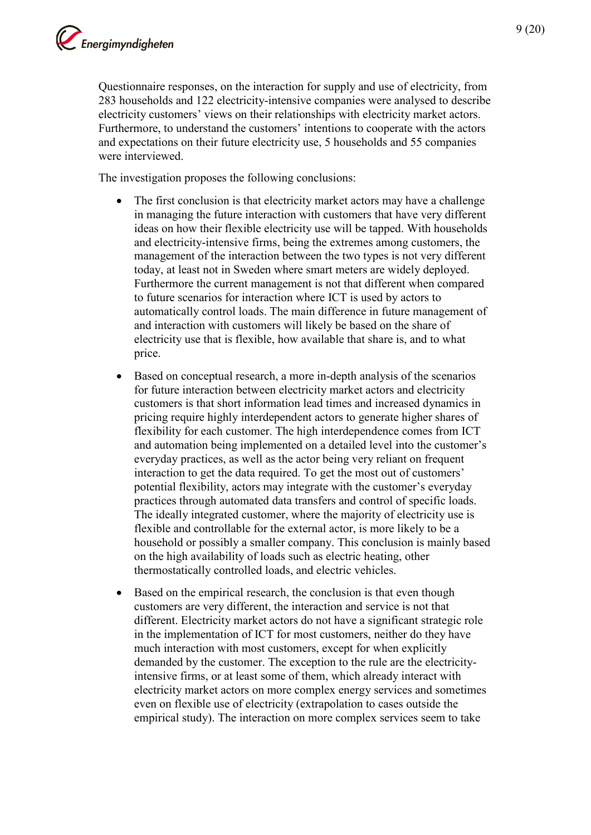Questionnaire responses, on the interaction for supply and use of electricity, from 283 households and 122 electricity-intensive companies were analysed to describe electricity customers' views on their relationships with electricity market actors. Furthermore, to understand the customers' intentions to cooperate with the actors and expectations on their future electricity use, 5 households and 55 companies were interviewed.

The investigation proposes the following conclusions:

- The first conclusion is that electricity market actors may have a challenge in managing the future interaction with customers that have very different ideas on how their flexible electricity use will be tapped. With households and electricity-intensive firms, being the extremes among customers, the management of the interaction between the two types is not very different today, at least not in Sweden where smart meters are widely deployed. Furthermore the current management is not that different when compared to future scenarios for interaction where ICT is used by actors to automatically control loads. The main difference in future management of and interaction with customers will likely be based on the share of electricity use that is flexible, how available that share is, and to what price.
- Based on conceptual research, a more in-depth analysis of the scenarios for future interaction between electricity market actors and electricity customers is that short information lead times and increased dynamics in pricing require highly interdependent actors to generate higher shares of flexibility for each customer. The high interdependence comes from ICT and automation being implemented on a detailed level into the customer's everyday practices, as well as the actor being very reliant on frequent interaction to get the data required. To get the most out of customers' potential flexibility, actors may integrate with the customer's everyday practices through automated data transfers and control of specific loads. The ideally integrated customer, where the majority of electricity use is flexible and controllable for the external actor, is more likely to be a household or possibly a smaller company. This conclusion is mainly based on the high availability of loads such as electric heating, other thermostatically controlled loads, and electric vehicles.
- Based on the empirical research, the conclusion is that even though customers are very different, the interaction and service is not that different. Electricity market actors do not have a significant strategic role in the implementation of ICT for most customers, neither do they have much interaction with most customers, except for when explicitly demanded by the customer. The exception to the rule are the electricityintensive firms, or at least some of them, which already interact with electricity market actors on more complex energy services and sometimes even on flexible use of electricity (extrapolation to cases outside the empirical study). The interaction on more complex services seem to take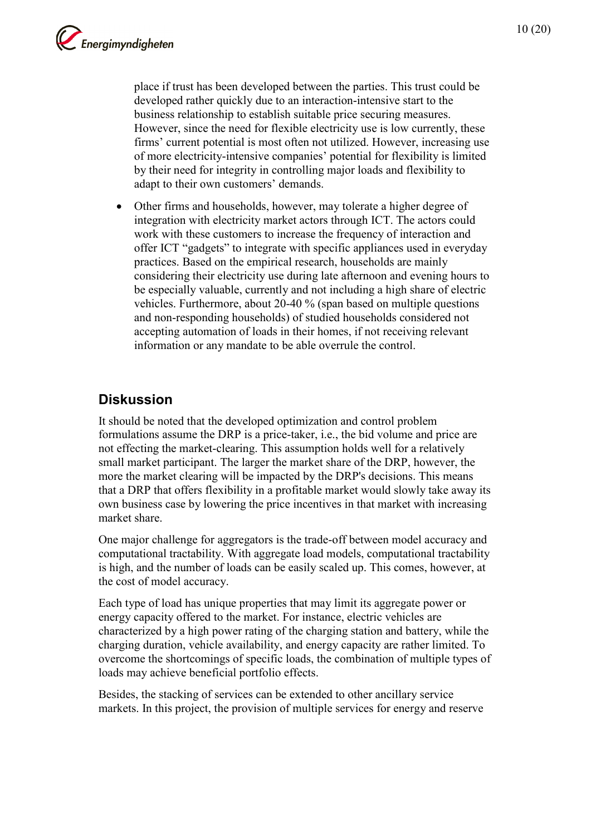place if trust has been developed between the parties. This trust could be developed rather quickly due to an interaction-intensive start to the business relationship to establish suitable price securing measures. However, since the need for flexible electricity use is low currently, these firms' current potential is most often not utilized. However, increasing use of more electricity-intensive companies' potential for flexibility is limited by their need for integrity in controlling major loads and flexibility to adapt to their own customers' demands.

• Other firms and households, however, may tolerate a higher degree of integration with electricity market actors through ICT. The actors could work with these customers to increase the frequency of interaction and offer ICT "gadgets" to integrate with specific appliances used in everyday practices. Based on the empirical research, households are mainly considering their electricity use during late afternoon and evening hours to be especially valuable, currently and not including a high share of electric vehicles. Furthermore, about 20-40 % (span based on multiple questions and non-responding households) of studied households considered not accepting automation of loads in their homes, if not receiving relevant information or any mandate to be able overrule the control.

## <span id="page-9-0"></span>**Diskussion**

It should be noted that the developed optimization and control problem formulations assume the DRP is a price-taker, i.e., the bid volume and price are not effecting the market-clearing. This assumption holds well for a relatively small market participant. The larger the market share of the DRP, however, the more the market clearing will be impacted by the DRP's decisions. This means that a DRP that offers flexibility in a profitable market would slowly take away its own business case by lowering the price incentives in that market with increasing market share.

One major challenge for aggregators is the trade-off between model accuracy and computational tractability. With aggregate load models, computational tractability is high, and the number of loads can be easily scaled up. This comes, however, at the cost of model accuracy.

Each type of load has unique properties that may limit its aggregate power or energy capacity offered to the market. For instance, electric vehicles are characterized by a high power rating of the charging station and battery, while the charging duration, vehicle availability, and energy capacity are rather limited. To overcome the shortcomings of specific loads, the combination of multiple types of loads may achieve beneficial portfolio effects.

Besides, the stacking of services can be extended to other ancillary service markets. In this project, the provision of multiple services for energy and reserve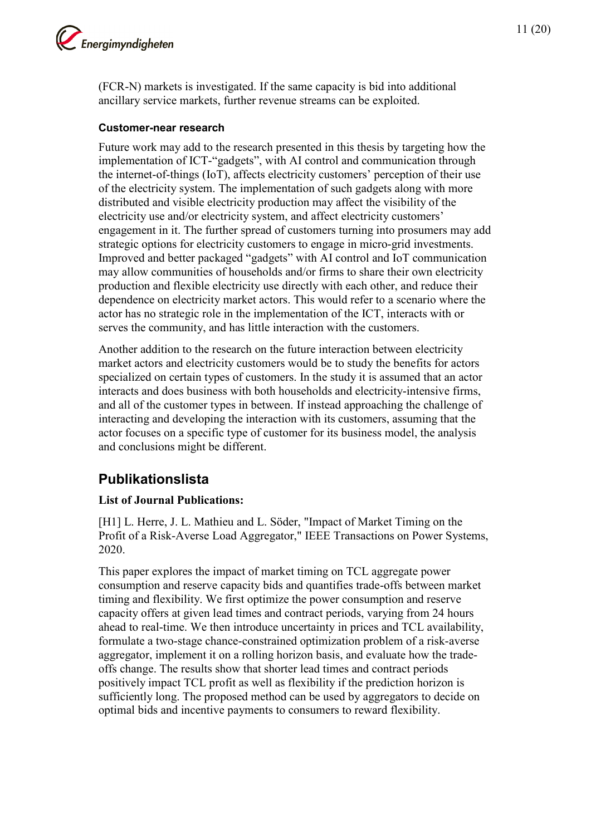

(FCR-N) markets is investigated. If the same capacity is bid into additional ancillary service markets, further revenue streams can be exploited.

#### **Customer-near research**

Future work may add to the research presented in this thesis by targeting how the implementation of ICT-"gadgets", with AI control and communication through the internet-of-things (IoT), affects electricity customers' perception of their use of the electricity system. The implementation of such gadgets along with more distributed and visible electricity production may affect the visibility of the electricity use and/or electricity system, and affect electricity customers' engagement in it. The further spread of customers turning into prosumers may add strategic options for electricity customers to engage in micro-grid investments. Improved and better packaged "gadgets" with AI control and IoT communication may allow communities of households and/or firms to share their own electricity production and flexible electricity use directly with each other, and reduce their dependence on electricity market actors. This would refer to a scenario where the actor has no strategic role in the implementation of the ICT, interacts with or serves the community, and has little interaction with the customers.

Another addition to the research on the future interaction between electricity market actors and electricity customers would be to study the benefits for actors specialized on certain types of customers. In the study it is assumed that an actor interacts and does business with both households and electricity-intensive firms, and all of the customer types in between. If instead approaching the challenge of interacting and developing the interaction with its customers, assuming that the actor focuses on a specific type of customer for its business model, the analysis and conclusions might be different.

## <span id="page-10-0"></span>**Publikationslista**

### **List of Journal Publications:**

[H1] L. Herre, J. L. Mathieu and L. Söder, "Impact of Market Timing on the Profit of a Risk-Averse Load Aggregator," IEEE Transactions on Power Systems, 2020.

This paper explores the impact of market timing on TCL aggregate power consumption and reserve capacity bids and quantifies trade-offs between market timing and flexibility. We first optimize the power consumption and reserve capacity offers at given lead times and contract periods, varying from 24 hours ahead to real-time. We then introduce uncertainty in prices and TCL availability, formulate a two-stage chance-constrained optimization problem of a risk-averse aggregator, implement it on a rolling horizon basis, and evaluate how the tradeoffs change. The results show that shorter lead times and contract periods positively impact TCL profit as well as flexibility if the prediction horizon is sufficiently long. The proposed method can be used by aggregators to decide on optimal bids and incentive payments to consumers to reward flexibility.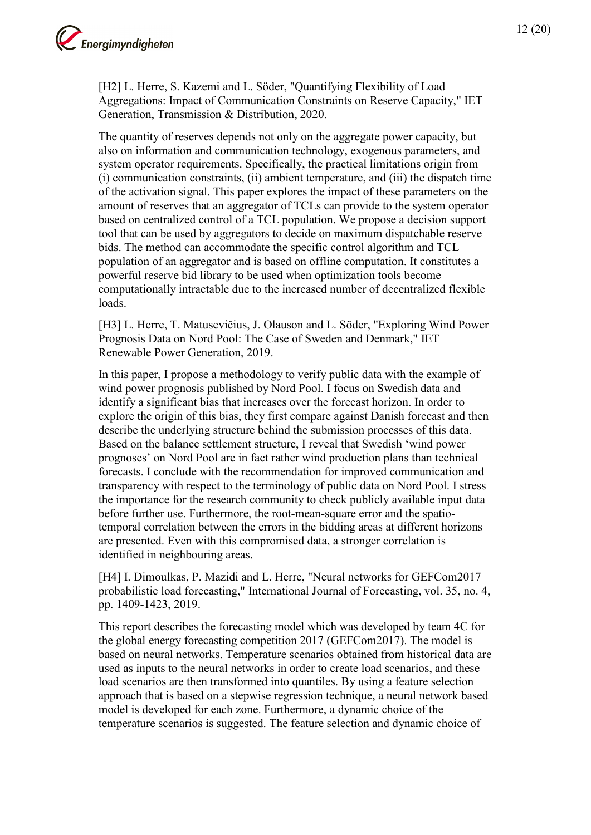

[H2] L. Herre, S. Kazemi and L. Söder, "Quantifying Flexibility of Load Aggregations: Impact of Communication Constraints on Reserve Capacity," IET Generation, Transmission & Distribution, 2020.

The quantity of reserves depends not only on the aggregate power capacity, but also on information and communication technology, exogenous parameters, and system operator requirements. Specifically, the practical limitations origin from (i) communication constraints, (ii) ambient temperature, and (iii) the dispatch time of the activation signal. This paper explores the impact of these parameters on the amount of reserves that an aggregator of TCLs can provide to the system operator based on centralized control of a TCL population. We propose a decision support tool that can be used by aggregators to decide on maximum dispatchable reserve bids. The method can accommodate the specific control algorithm and TCL population of an aggregator and is based on offline computation. It constitutes a powerful reserve bid library to be used when optimization tools become computationally intractable due to the increased number of decentralized flexible loads.

[H3] L. Herre, T. Matusevičius, J. Olauson and L. Söder, "Exploring Wind Power Prognosis Data on Nord Pool: The Case of Sweden and Denmark," IET Renewable Power Generation, 2019.

In this paper, I propose a methodology to verify public data with the example of wind power prognosis published by Nord Pool. I focus on Swedish data and identify a significant bias that increases over the forecast horizon. In order to explore the origin of this bias, they first compare against Danish forecast and then describe the underlying structure behind the submission processes of this data. Based on the balance settlement structure, I reveal that Swedish 'wind power prognoses' on Nord Pool are in fact rather wind production plans than technical forecasts. I conclude with the recommendation for improved communication and transparency with respect to the terminology of public data on Nord Pool. I stress the importance for the research community to check publicly available input data before further use. Furthermore, the root-mean-square error and the spatiotemporal correlation between the errors in the bidding areas at different horizons are presented. Even with this compromised data, a stronger correlation is identified in neighbouring areas.

[H4] I. Dimoulkas, P. Mazidi and L. Herre, "Neural networks for GEFCom2017 probabilistic load forecasting," International Journal of Forecasting, vol. 35, no. 4, pp. 1409-1423, 2019.

This report describes the forecasting model which was developed by team 4C for the global energy forecasting competition 2017 (GEFCom2017). The model is based on neural networks. Temperature scenarios obtained from historical data are used as inputs to the neural networks in order to create load scenarios, and these load scenarios are then transformed into quantiles. By using a feature selection approach that is based on a stepwise regression technique, a neural network based model is developed for each zone. Furthermore, a dynamic choice of the temperature scenarios is suggested. The feature selection and dynamic choice of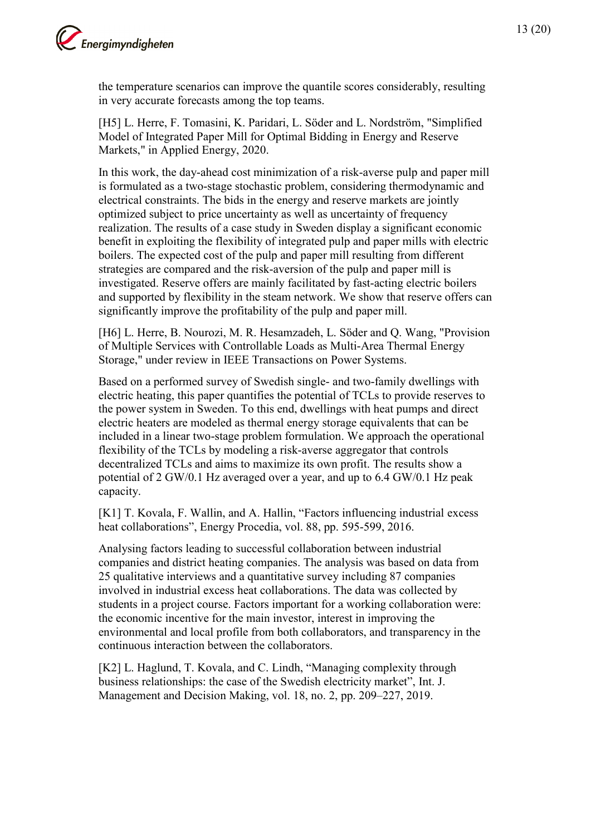

the temperature scenarios can improve the quantile scores considerably, resulting in very accurate forecasts among the top teams.

[H5] L. Herre, F. Tomasini, K. Paridari, L. Söder and L. Nordström, "Simplified Model of Integrated Paper Mill for Optimal Bidding in Energy and Reserve Markets," in Applied Energy, 2020.

In this work, the day-ahead cost minimization of a risk-averse pulp and paper mill is formulated as a two-stage stochastic problem, considering thermodynamic and electrical constraints. The bids in the energy and reserve markets are jointly optimized subject to price uncertainty as well as uncertainty of frequency realization. The results of a case study in Sweden display a significant economic benefit in exploiting the flexibility of integrated pulp and paper mills with electric boilers. The expected cost of the pulp and paper mill resulting from different strategies are compared and the risk-aversion of the pulp and paper mill is investigated. Reserve offers are mainly facilitated by fast-acting electric boilers and supported by flexibility in the steam network. We show that reserve offers can significantly improve the profitability of the pulp and paper mill.

[H6] L. Herre, B. Nourozi, M. R. Hesamzadeh, L. Söder and Q. Wang, "Provision of Multiple Services with Controllable Loads as Multi-Area Thermal Energy Storage," under review in IEEE Transactions on Power Systems.

Based on a performed survey of Swedish single- and two-family dwellings with electric heating, this paper quantifies the potential of TCLs to provide reserves to the power system in Sweden. To this end, dwellings with heat pumps and direct electric heaters are modeled as thermal energy storage equivalents that can be included in a linear two-stage problem formulation. We approach the operational flexibility of the TCLs by modeling a risk-averse aggregator that controls decentralized TCLs and aims to maximize its own profit. The results show a potential of 2 GW/0.1 Hz averaged over a year, and up to 6.4 GW/0.1 Hz peak capacity.

[K1] T. Kovala, F. Wallin, and A. Hallin, "Factors influencing industrial excess heat collaborations", Energy Procedia, vol. 88, pp. 595-599, 2016.

Analysing factors leading to successful collaboration between industrial companies and district heating companies. The analysis was based on data from 25 qualitative interviews and a quantitative survey including 87 companies involved in industrial excess heat collaborations. The data was collected by students in a project course. Factors important for a working collaboration were: the economic incentive for the main investor, interest in improving the environmental and local profile from both collaborators, and transparency in the continuous interaction between the collaborators.

[K2] L. Haglund, T. Kovala, and C. Lindh, "Managing complexity through business relationships: the case of the Swedish electricity market", Int. J. Management and Decision Making, vol. 18, no. 2, pp. 209–227, 2019.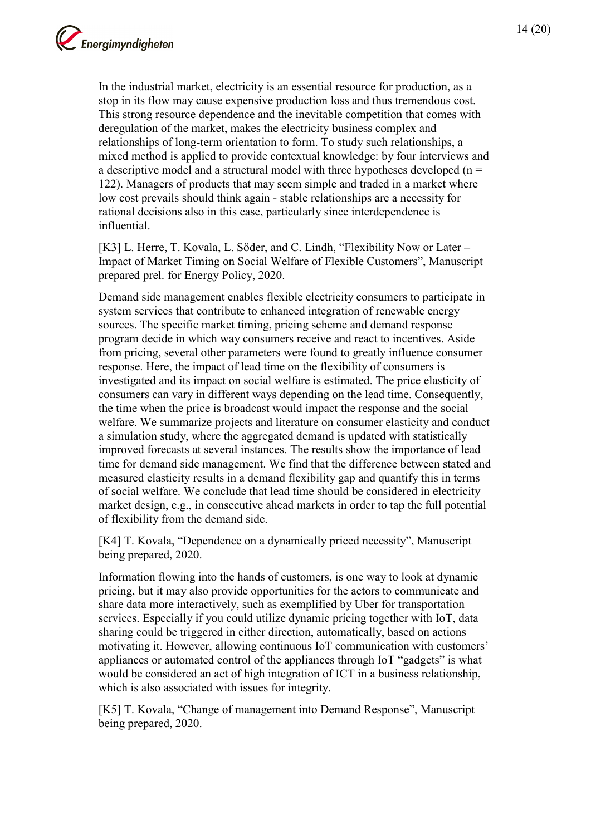In the industrial market, electricity is an essential resource for production, as a stop in its flow may cause expensive production loss and thus tremendous cost. This strong resource dependence and the inevitable competition that comes with deregulation of the market, makes the electricity business complex and relationships of long-term orientation to form. To study such relationships, a mixed method is applied to provide contextual knowledge: by four interviews and a descriptive model and a structural model with three hypotheses developed ( $n =$ 122). Managers of products that may seem simple and traded in a market where low cost prevails should think again - stable relationships are a necessity for rational decisions also in this case, particularly since interdependence is influential.

[K3] L. Herre, T. Kovala, L. Söder, and C. Lindh, "Flexibility Now or Later – Impact of Market Timing on Social Welfare of Flexible Customers", Manuscript prepared prel. for Energy Policy, 2020.

Demand side management enables flexible electricity consumers to participate in system services that contribute to enhanced integration of renewable energy sources. The specific market timing, pricing scheme and demand response program decide in which way consumers receive and react to incentives. Aside from pricing, several other parameters were found to greatly influence consumer response. Here, the impact of lead time on the flexibility of consumers is investigated and its impact on social welfare is estimated. The price elasticity of consumers can vary in different ways depending on the lead time. Consequently, the time when the price is broadcast would impact the response and the social welfare. We summarize projects and literature on consumer elasticity and conduct a simulation study, where the aggregated demand is updated with statistically improved forecasts at several instances. The results show the importance of lead time for demand side management. We find that the difference between stated and measured elasticity results in a demand flexibility gap and quantify this in terms of social welfare. We conclude that lead time should be considered in electricity market design, e.g., in consecutive ahead markets in order to tap the full potential of flexibility from the demand side.

[K4] T. Kovala, "Dependence on a dynamically priced necessity", Manuscript being prepared, 2020.

Information flowing into the hands of customers, is one way to look at dynamic pricing, but it may also provide opportunities for the actors to communicate and share data more interactively, such as exemplified by Uber for transportation services. Especially if you could utilize dynamic pricing together with IoT, data sharing could be triggered in either direction, automatically, based on actions motivating it. However, allowing continuous IoT communication with customers' appliances or automated control of the appliances through IoT "gadgets" is what would be considered an act of high integration of ICT in a business relationship, which is also associated with issues for integrity.

[K5] T. Kovala, "Change of management into Demand Response", Manuscript being prepared, 2020.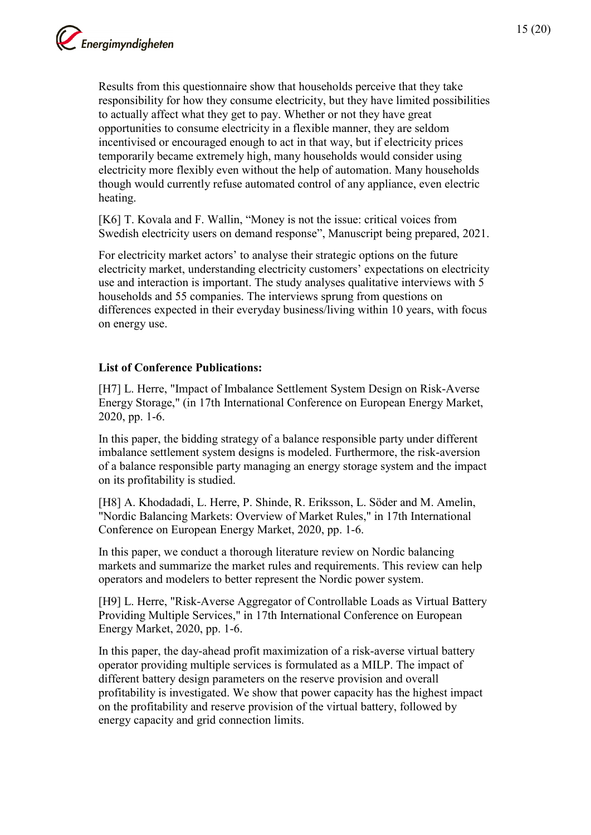15 (20)

Results from this questionnaire show that households perceive that they take responsibility for how they consume electricity, but they have limited possibilities to actually affect what they get to pay. Whether or not they have great opportunities to consume electricity in a flexible manner, they are seldom incentivised or encouraged enough to act in that way, but if electricity prices temporarily became extremely high, many households would consider using electricity more flexibly even without the help of automation. Many households though would currently refuse automated control of any appliance, even electric heating.

[K6] T. Kovala and F. Wallin, "Money is not the issue: critical voices from Swedish electricity users on demand response", Manuscript being prepared, 2021.

For electricity market actors' to analyse their strategic options on the future electricity market, understanding electricity customers' expectations on electricity use and interaction is important. The study analyses qualitative interviews with 5 households and 55 companies. The interviews sprung from questions on differences expected in their everyday business/living within 10 years, with focus on energy use.

### **List of Conference Publications:**

[H7] L. Herre, "Impact of Imbalance Settlement System Design on Risk-Averse Energy Storage," (in 17th International Conference on European Energy Market, 2020, pp. 1-6.

In this paper, the bidding strategy of a balance responsible party under different imbalance settlement system designs is modeled. Furthermore, the risk-aversion of a balance responsible party managing an energy storage system and the impact on its profitability is studied.

[H8] A. Khodadadi, L. Herre, P. Shinde, R. Eriksson, L. Söder and M. Amelin, "Nordic Balancing Markets: Overview of Market Rules," in 17th International Conference on European Energy Market, 2020, pp. 1-6.

In this paper, we conduct a thorough literature review on Nordic balancing markets and summarize the market rules and requirements. This review can help operators and modelers to better represent the Nordic power system.

[H9] L. Herre, "Risk-Averse Aggregator of Controllable Loads as Virtual Battery Providing Multiple Services," in 17th International Conference on European Energy Market, 2020, pp. 1-6.

In this paper, the day-ahead profit maximization of a risk-averse virtual battery operator providing multiple services is formulated as a MILP. The impact of different battery design parameters on the reserve provision and overall profitability is investigated. We show that power capacity has the highest impact on the profitability and reserve provision of the virtual battery, followed by energy capacity and grid connection limits.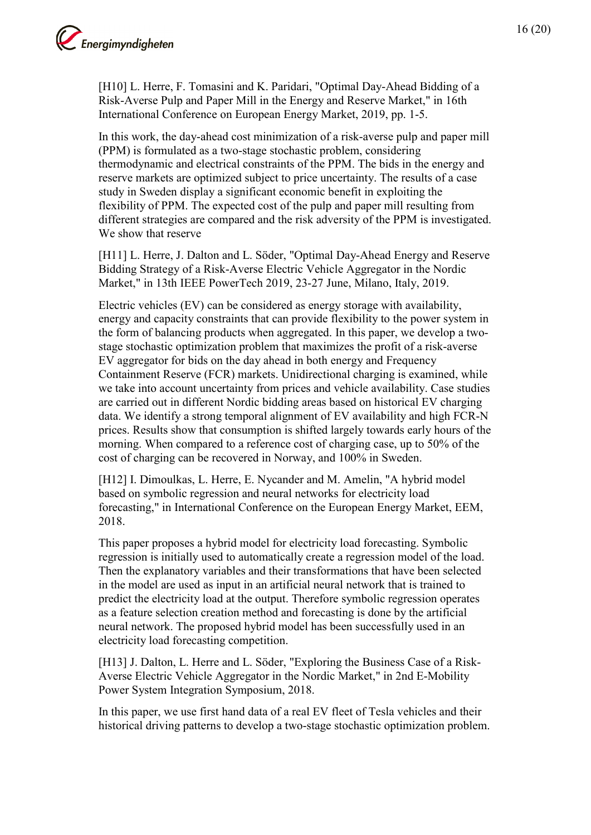

[H10] L. Herre, F. Tomasini and K. Paridari, "Optimal Day-Ahead Bidding of a Risk-Averse Pulp and Paper Mill in the Energy and Reserve Market," in 16th International Conference on European Energy Market, 2019, pp. 1-5.

In this work, the day-ahead cost minimization of a risk-averse pulp and paper mill (PPM) is formulated as a two-stage stochastic problem, considering thermodynamic and electrical constraints of the PPM. The bids in the energy and reserve markets are optimized subject to price uncertainty. The results of a case study in Sweden display a significant economic benefit in exploiting the flexibility of PPM. The expected cost of the pulp and paper mill resulting from different strategies are compared and the risk adversity of the PPM is investigated. We show that reserve

[H11] L. Herre, J. Dalton and L. Söder, "Optimal Day-Ahead Energy and Reserve Bidding Strategy of a Risk-Averse Electric Vehicle Aggregator in the Nordic Market," in 13th IEEE PowerTech 2019, 23-27 June, Milano, Italy, 2019.

Electric vehicles (EV) can be considered as energy storage with availability, energy and capacity constraints that can provide flexibility to the power system in the form of balancing products when aggregated. In this paper, we develop a twostage stochastic optimization problem that maximizes the profit of a risk-averse EV aggregator for bids on the day ahead in both energy and Frequency Containment Reserve (FCR) markets. Unidirectional charging is examined, while we take into account uncertainty from prices and vehicle availability. Case studies are carried out in different Nordic bidding areas based on historical EV charging data. We identify a strong temporal alignment of EV availability and high FCR-N prices. Results show that consumption is shifted largely towards early hours of the morning. When compared to a reference cost of charging case, up to 50% of the cost of charging can be recovered in Norway, and 100% in Sweden.

[H12] I. Dimoulkas, L. Herre, E. Nycander and M. Amelin, "A hybrid model based on symbolic regression and neural networks for electricity load forecasting," in International Conference on the European Energy Market, EEM, 2018.

This paper proposes a hybrid model for electricity load forecasting. Symbolic regression is initially used to automatically create a regression model of the load. Then the explanatory variables and their transformations that have been selected in the model are used as input in an artificial neural network that is trained to predict the electricity load at the output. Therefore symbolic regression operates as a feature selection creation method and forecasting is done by the artificial neural network. The proposed hybrid model has been successfully used in an electricity load forecasting competition.

[H13] J. Dalton, L. Herre and L. Söder, "Exploring the Business Case of a Risk-Averse Electric Vehicle Aggregator in the Nordic Market," in 2nd E-Mobility Power System Integration Symposium, 2018.

In this paper, we use first hand data of a real EV fleet of Tesla vehicles and their historical driving patterns to develop a two-stage stochastic optimization problem.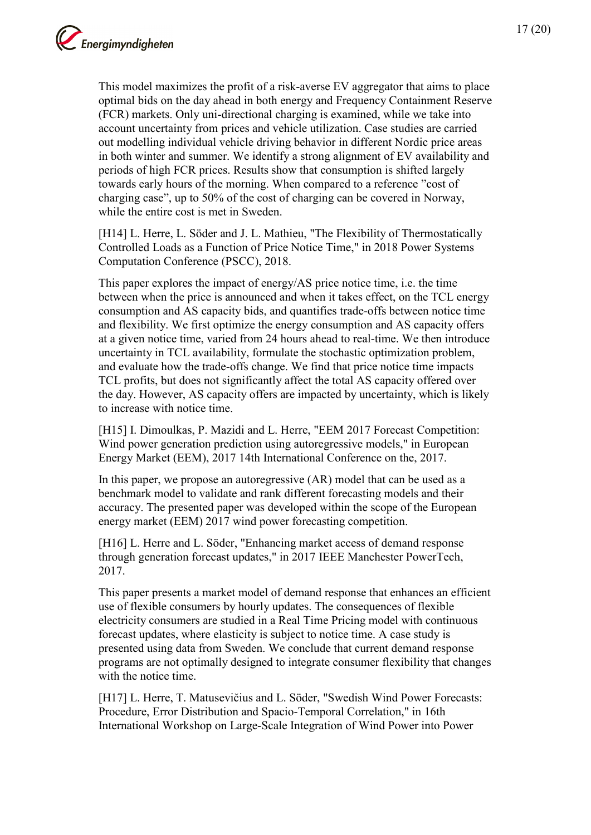This model maximizes the profit of a risk-averse EV aggregator that aims to place optimal bids on the day ahead in both energy and Frequency Containment Reserve (FCR) markets. Only uni-directional charging is examined, while we take into account uncertainty from prices and vehicle utilization. Case studies are carried out modelling individual vehicle driving behavior in different Nordic price areas in both winter and summer. We identify a strong alignment of EV availability and periods of high FCR prices. Results show that consumption is shifted largely towards early hours of the morning. When compared to a reference "cost of charging case", up to 50% of the cost of charging can be covered in Norway, while the entire cost is met in Sweden.

[H14] L. Herre, L. Söder and J. L. Mathieu, "The Flexibility of Thermostatically Controlled Loads as a Function of Price Notice Time," in 2018 Power Systems Computation Conference (PSCC), 2018.

This paper explores the impact of energy/AS price notice time, i.e. the time between when the price is announced and when it takes effect, on the TCL energy consumption and AS capacity bids, and quantifies trade-offs between notice time and flexibility. We first optimize the energy consumption and AS capacity offers at a given notice time, varied from 24 hours ahead to real-time. We then introduce uncertainty in TCL availability, formulate the stochastic optimization problem, and evaluate how the trade-offs change. We find that price notice time impacts TCL profits, but does not significantly affect the total AS capacity offered over the day. However, AS capacity offers are impacted by uncertainty, which is likely to increase with notice time.

[H15] I. Dimoulkas, P. Mazidi and L. Herre, "EEM 2017 Forecast Competition: Wind power generation prediction using autoregressive models," in European Energy Market (EEM), 2017 14th International Conference on the, 2017.

In this paper, we propose an autoregressive (AR) model that can be used as a benchmark model to validate and rank different forecasting models and their accuracy. The presented paper was developed within the scope of the European energy market (EEM) 2017 wind power forecasting competition.

[H16] L. Herre and L. Söder, "Enhancing market access of demand response through generation forecast updates," in 2017 IEEE Manchester PowerTech, 2017.

This paper presents a market model of demand response that enhances an efficient use of flexible consumers by hourly updates. The consequences of flexible electricity consumers are studied in a Real Time Pricing model with continuous forecast updates, where elasticity is subject to notice time. A case study is presented using data from Sweden. We conclude that current demand response programs are not optimally designed to integrate consumer flexibility that changes with the notice time.

[H17] L. Herre, T. Matusevičius and L. Söder, "Swedish Wind Power Forecasts: Procedure, Error Distribution and Spacio-Temporal Correlation," in 16th International Workshop on Large-Scale Integration of Wind Power into Power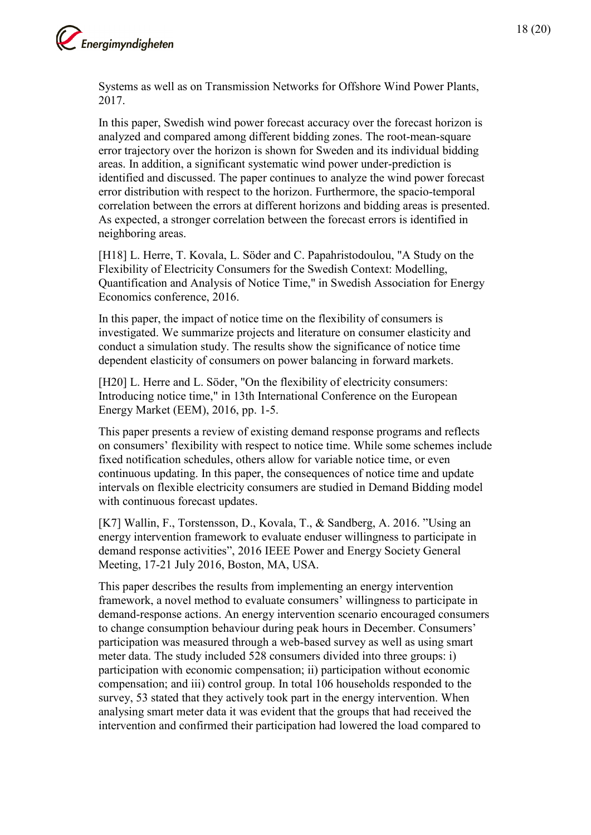

Systems as well as on Transmission Networks for Offshore Wind Power Plants, 2017.

In this paper, Swedish wind power forecast accuracy over the forecast horizon is analyzed and compared among different bidding zones. The root-mean-square error trajectory over the horizon is shown for Sweden and its individual bidding areas. In addition, a significant systematic wind power under-prediction is identified and discussed. The paper continues to analyze the wind power forecast error distribution with respect to the horizon. Furthermore, the spacio-temporal correlation between the errors at different horizons and bidding areas is presented. As expected, a stronger correlation between the forecast errors is identified in neighboring areas.

[H18] L. Herre, T. Kovala, L. Söder and C. Papahristodoulou, "A Study on the Flexibility of Electricity Consumers for the Swedish Context: Modelling, Quantification and Analysis of Notice Time," in Swedish Association for Energy Economics conference, 2016.

In this paper, the impact of notice time on the flexibility of consumers is investigated. We summarize projects and literature on consumer elasticity and conduct a simulation study. The results show the significance of notice time dependent elasticity of consumers on power balancing in forward markets.

[H20] L. Herre and L. Söder, "On the flexibility of electricity consumers: Introducing notice time," in 13th International Conference on the European Energy Market (EEM), 2016, pp. 1-5.

This paper presents a review of existing demand response programs and reflects on consumers' flexibility with respect to notice time. While some schemes include fixed notification schedules, others allow for variable notice time, or even continuous updating. In this paper, the consequences of notice time and update intervals on flexible electricity consumers are studied in Demand Bidding model with continuous forecast updates.

[K7] Wallin, F., Torstensson, D., Kovala, T., & Sandberg, A. 2016. "Using an energy intervention framework to evaluate enduser willingness to participate in demand response activities", 2016 IEEE Power and Energy Society General Meeting, 17-21 July 2016, Boston, MA, USA.

This paper describes the results from implementing an energy intervention framework, a novel method to evaluate consumers' willingness to participate in demand-response actions. An energy intervention scenario encouraged consumers to change consumption behaviour during peak hours in December. Consumers' participation was measured through a web-based survey as well as using smart meter data. The study included 528 consumers divided into three groups: i) participation with economic compensation; ii) participation without economic compensation; and iii) control group. In total 106 households responded to the survey, 53 stated that they actively took part in the energy intervention. When analysing smart meter data it was evident that the groups that had received the intervention and confirmed their participation had lowered the load compared to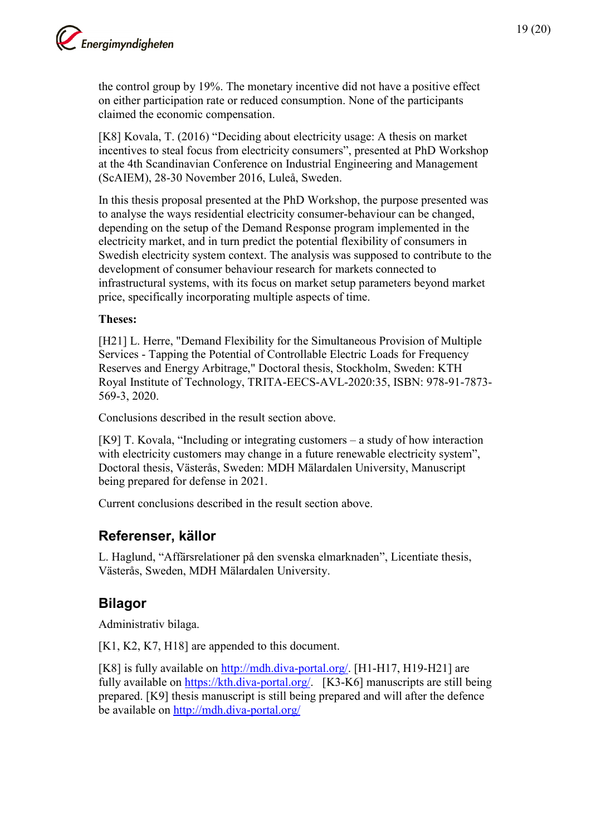the control group by 19%. The monetary incentive did not have a positive effect on either participation rate or reduced consumption. None of the participants claimed the economic compensation.

[K8] Kovala, T. (2016) "Deciding about electricity usage: A thesis on market incentives to steal focus from electricity consumers", presented at PhD Workshop at the 4th Scandinavian Conference on Industrial Engineering and Management (ScAIEM), 28-30 November 2016, Luleå, Sweden.

In this thesis proposal presented at the PhD Workshop, the purpose presented was to analyse the ways residential electricity consumer-behaviour can be changed, depending on the setup of the Demand Response program implemented in the electricity market, and in turn predict the potential flexibility of consumers in Swedish electricity system context. The analysis was supposed to contribute to the development of consumer behaviour research for markets connected to infrastructural systems, with its focus on market setup parameters beyond market price, specifically incorporating multiple aspects of time.

#### **Theses:**

[H21] L. Herre, "Demand Flexibility for the Simultaneous Provision of Multiple Services - Tapping the Potential of Controllable Electric Loads for Frequency Reserves and Energy Arbitrage," Doctoral thesis, Stockholm, Sweden: KTH Royal Institute of Technology, TRITA-EECS-AVL-2020:35, ISBN: 978-91-7873- 569-3, 2020.

Conclusions described in the result section above.

[K9] T. Kovala, "Including or integrating customers – a study of how interaction with electricity customers may change in a future renewable electricity system", Doctoral thesis, Västerås, Sweden: MDH Mälardalen University, Manuscript being prepared for defense in 2021.

Current conclusions described in the result section above.

### <span id="page-18-0"></span>**Referenser, källor**

L. Haglund, "Affärsrelationer på den svenska elmarknaden", Licentiate thesis, Västerås, Sweden, MDH Mälardalen University.

## <span id="page-18-1"></span>**Bilagor**

Administrativ bilaga.

[K1, K2, K7, H18] are appended to this document.

[K8] is fully available on [http://mdh.diva-portal.org/.](http://mdh.diva-portal.org/) [H1-H17, H19-H21] are fully available on [https://kth.diva-portal.org/.](https://kth.diva-portal.org/) [K3-K6] manuscripts are still being prepared. [K9] thesis manuscript is still being prepared and will after the defence be available on<http://mdh.diva-portal.org/>